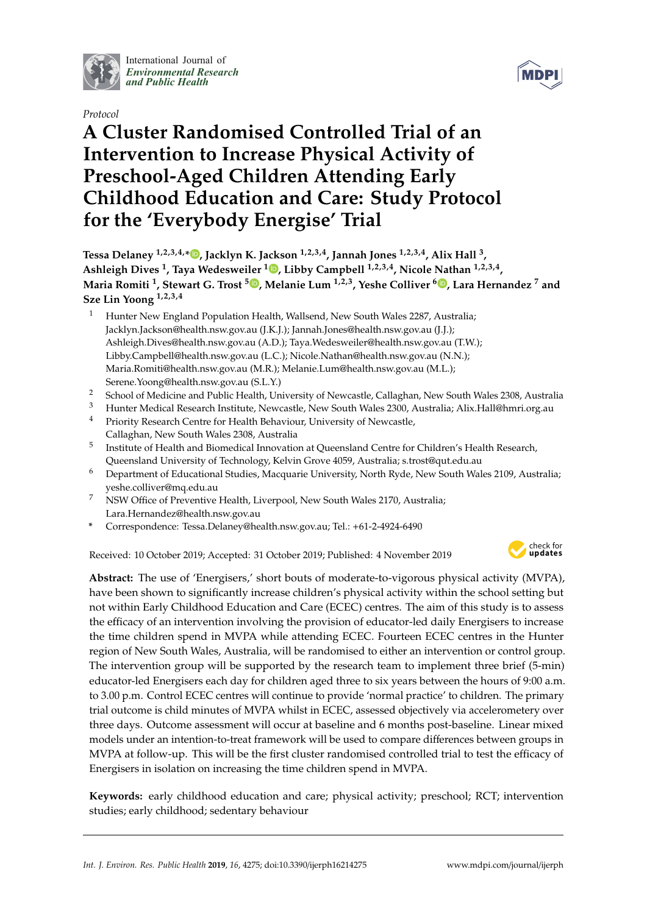

International Journal of *[Environmental Research](http://www.mdpi.com/journal/ijerph) and Public Health*

*Protocol*



# **A Cluster Randomised Controlled Trial of an Intervention to Increase Physical Activity of Preschool-Aged Children Attending Early Childhood Education and Care: Study Protocol for the 'Everybody Energise' Trial**

**Tessa Delaney 1,2,3,4,\* [,](https://orcid.org/0000-0002-2756-4821) Jacklyn K. Jackson 1,2,3,4, Jannah Jones 1,2,3,4, Alix Hall <sup>3</sup> , Ashleigh Dives <sup>1</sup> , Taya Wedesweiler <sup>1</sup> [,](https://orcid.org/0000-0003-3838-5068) Libby Campbell 1,2,3,4, Nicole Nathan 1,2,3,4 , Maria Romiti <sup>1</sup> , Stewart G. Trost <sup>5</sup> [,](https://orcid.org/0000-0001-9587-3944) Melanie Lum 1,2,3, Yeshe Colliver <sup>6</sup> [,](https://orcid.org/0000-0002-5481-3280) Lara Hernandez <sup>7</sup> and Sze Lin Yoong 1,2,3,4**

- <sup>1</sup> Hunter New England Population Health, Wallsend, New South Wales 2287, Australia; Jacklyn.Jackson@health.nsw.gov.au (J.K.J.); Jannah.Jones@health.nsw.gov.au (J.J.); Ashleigh.Dives@health.nsw.gov.au (A.D.); Taya.Wedesweiler@health.nsw.gov.au (T.W.); Libby.Campbell@health.nsw.gov.au (L.C.); Nicole.Nathan@health.nsw.gov.au (N.N.); Maria.Romiti@health.nsw.gov.au (M.R.); Melanie.Lum@health.nsw.gov.au (M.L.); Serene.Yoong@health.nsw.gov.au (S.L.Y.)
- <sup>2</sup> School of Medicine and Public Health, University of Newcastle, Callaghan, New South Wales 2308, Australia
- <sup>3</sup> Hunter Medical Research Institute, Newcastle, New South Wales 2300, Australia; Alix.Hall@hmri.org.au
- Priority Research Centre for Health Behaviour, University of Newcastle, Callaghan, New South Wales 2308, Australia
- 5 Institute of Health and Biomedical Innovation at Queensland Centre for Children's Health Research, Queensland University of Technology, Kelvin Grove 4059, Australia; s.trost@qut.edu.au
- <sup>6</sup> Department of Educational Studies, Macquarie University, North Ryde, New South Wales 2109, Australia; yeshe.colliver@mq.edu.au
- <sup>7</sup> NSW Office of Preventive Health, Liverpool, New South Wales 2170, Australia; Lara.Hernandez@health.nsw.gov.au
- **\*** Correspondence: Tessa.Delaney@health.nsw.gov.au; Tel.: +61-2-4924-6490

Received: 10 October 2019; Accepted: 31 October 2019; Published: 4 November 2019



**Abstract:** The use of 'Energisers,' short bouts of moderate-to-vigorous physical activity (MVPA), have been shown to significantly increase children's physical activity within the school setting but not within Early Childhood Education and Care (ECEC) centres. The aim of this study is to assess the efficacy of an intervention involving the provision of educator-led daily Energisers to increase the time children spend in MVPA while attending ECEC. Fourteen ECEC centres in the Hunter region of New South Wales, Australia, will be randomised to either an intervention or control group. The intervention group will be supported by the research team to implement three brief (5-min) educator-led Energisers each day for children aged three to six years between the hours of 9:00 a.m. to 3.00 p.m. Control ECEC centres will continue to provide 'normal practice' to children. The primary trial outcome is child minutes of MVPA whilst in ECEC, assessed objectively via accelerometery over three days. Outcome assessment will occur at baseline and 6 months post-baseline. Linear mixed models under an intention-to-treat framework will be used to compare differences between groups in MVPA at follow-up. This will be the first cluster randomised controlled trial to test the efficacy of Energisers in isolation on increasing the time children spend in MVPA.

**Keywords:** early childhood education and care; physical activity; preschool; RCT; intervention studies; early childhood; sedentary behaviour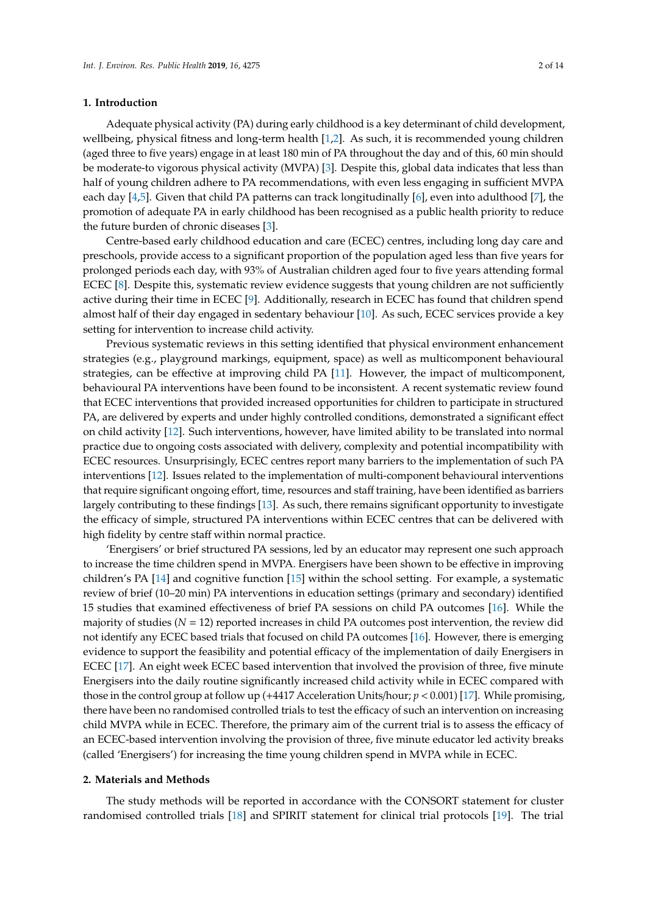# **1. Introduction**

Adequate physical activity (PA) during early childhood is a key determinant of child development, wellbeing, physical fitness and long-term health [\[1](#page-11-0)[,2\]](#page-11-1). As such, it is recommended young children (aged three to five years) engage in at least 180 min of PA throughout the day and of this, 60 min should be moderate-to vigorous physical activity (MVPA) [\[3\]](#page-11-2). Despite this, global data indicates that less than half of young children adhere to PA recommendations, with even less engaging in sufficient MVPA each day [\[4,](#page-11-3)[5\]](#page-11-4). Given that child PA patterns can track longitudinally [\[6\]](#page-11-5), even into adulthood [\[7\]](#page-11-6), the promotion of adequate PA in early childhood has been recognised as a public health priority to reduce the future burden of chronic diseases [\[3\]](#page-11-2).

Centre-based early childhood education and care (ECEC) centres, including long day care and preschools, provide access to a significant proportion of the population aged less than five years for prolonged periods each day, with 93% of Australian children aged four to five years attending formal ECEC [\[8\]](#page-11-7). Despite this, systematic review evidence suggests that young children are not sufficiently active during their time in ECEC [\[9\]](#page-11-8). Additionally, research in ECEC has found that children spend almost half of their day engaged in sedentary behaviour [\[10\]](#page-11-9). As such, ECEC services provide a key setting for intervention to increase child activity.

Previous systematic reviews in this setting identified that physical environment enhancement strategies (e.g., playground markings, equipment, space) as well as multicomponent behavioural strategies, can be effective at improving child PA [\[11\]](#page-11-10). However, the impact of multicomponent, behavioural PA interventions have been found to be inconsistent. A recent systematic review found that ECEC interventions that provided increased opportunities for children to participate in structured PA, are delivered by experts and under highly controlled conditions, demonstrated a significant effect on child activity [\[12\]](#page-11-11). Such interventions, however, have limited ability to be translated into normal practice due to ongoing costs associated with delivery, complexity and potential incompatibility with ECEC resources. Unsurprisingly, ECEC centres report many barriers to the implementation of such PA interventions [\[12\]](#page-11-11). Issues related to the implementation of multi-component behavioural interventions that require significant ongoing effort, time, resources and staff training, have been identified as barriers largely contributing to these findings [\[13\]](#page-11-12). As such, there remains significant opportunity to investigate the efficacy of simple, structured PA interventions within ECEC centres that can be delivered with high fidelity by centre staff within normal practice.

'Energisers' or brief structured PA sessions, led by an educator may represent one such approach to increase the time children spend in MVPA. Energisers have been shown to be effective in improving children's PA [\[14\]](#page-11-13) and cognitive function [\[15\]](#page-11-14) within the school setting. For example, a systematic review of brief (10–20 min) PA interventions in education settings (primary and secondary) identified 15 studies that examined effectiveness of brief PA sessions on child PA outcomes [\[16\]](#page-11-15). While the majority of studies (*N* = 12) reported increases in child PA outcomes post intervention, the review did not identify any ECEC based trials that focused on child PA outcomes [\[16\]](#page-11-15). However, there is emerging evidence to support the feasibility and potential efficacy of the implementation of daily Energisers in ECEC [\[17\]](#page-11-16). An eight week ECEC based intervention that involved the provision of three, five minute Energisers into the daily routine significantly increased child activity while in ECEC compared with those in the control group at follow up (+4417 Acceleration Units/hour; *p* < 0.001) [\[17\]](#page-11-16). While promising, there have been no randomised controlled trials to test the efficacy of such an intervention on increasing child MVPA while in ECEC. Therefore, the primary aim of the current trial is to assess the efficacy of an ECEC-based intervention involving the provision of three, five minute educator led activity breaks (called 'Energisers') for increasing the time young children spend in MVPA while in ECEC.

# **2. Materials and Methods**

The study methods will be reported in accordance with the CONSORT statement for cluster randomised controlled trials [\[18\]](#page-11-17) and SPIRIT statement for clinical trial protocols [\[19\]](#page-11-18). The trial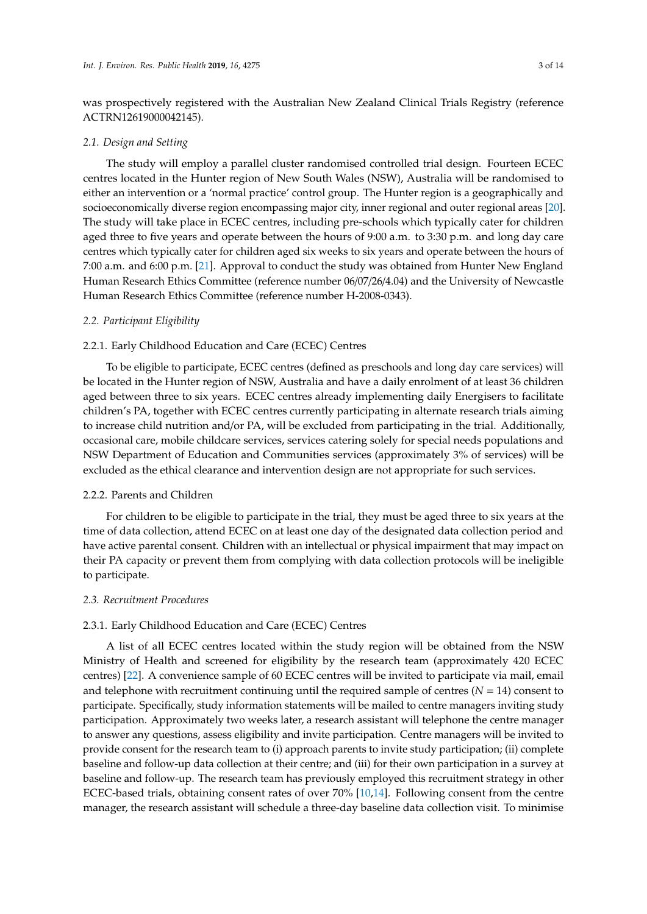was prospectively registered with the Australian New Zealand Clinical Trials Registry (reference ACTRN12619000042145).

### *2.1. Design and Setting*

The study will employ a parallel cluster randomised controlled trial design. Fourteen ECEC centres located in the Hunter region of New South Wales (NSW), Australia will be randomised to either an intervention or a 'normal practice' control group. The Hunter region is a geographically and socioeconomically diverse region encompassing major city, inner regional and outer regional areas [\[20\]](#page-12-0). The study will take place in ECEC centres, including pre-schools which typically cater for children aged three to five years and operate between the hours of 9:00 a.m. to 3:30 p.m. and long day care centres which typically cater for children aged six weeks to six years and operate between the hours of 7:00 a.m. and 6:00 p.m. [\[21\]](#page-12-1). Approval to conduct the study was obtained from Hunter New England Human Research Ethics Committee (reference number 06/07/26/4.04) and the University of Newcastle Human Research Ethics Committee (reference number H-2008-0343).

# *2.2. Participant Eligibility*

#### 2.2.1. Early Childhood Education and Care (ECEC) Centres

To be eligible to participate, ECEC centres (defined as preschools and long day care services) will be located in the Hunter region of NSW, Australia and have a daily enrolment of at least 36 children aged between three to six years. ECEC centres already implementing daily Energisers to facilitate children's PA, together with ECEC centres currently participating in alternate research trials aiming to increase child nutrition and/or PA, will be excluded from participating in the trial. Additionally, occasional care, mobile childcare services, services catering solely for special needs populations and NSW Department of Education and Communities services (approximately 3% of services) will be excluded as the ethical clearance and intervention design are not appropriate for such services.

#### 2.2.2. Parents and Children

For children to be eligible to participate in the trial, they must be aged three to six years at the time of data collection, attend ECEC on at least one day of the designated data collection period and have active parental consent. Children with an intellectual or physical impairment that may impact on their PA capacity or prevent them from complying with data collection protocols will be ineligible to participate.

# *2.3. Recruitment Procedures*

# 2.3.1. Early Childhood Education and Care (ECEC) Centres

A list of all ECEC centres located within the study region will be obtained from the NSW Ministry of Health and screened for eligibility by the research team (approximately 420 ECEC centres) [\[22\]](#page-12-2). A convenience sample of 60 ECEC centres will be invited to participate via mail, email and telephone with recruitment continuing until the required sample of centres  $(N = 14)$  consent to participate. Specifically, study information statements will be mailed to centre managers inviting study participation. Approximately two weeks later, a research assistant will telephone the centre manager to answer any questions, assess eligibility and invite participation. Centre managers will be invited to provide consent for the research team to (i) approach parents to invite study participation; (ii) complete baseline and follow-up data collection at their centre; and (iii) for their own participation in a survey at baseline and follow-up. The research team has previously employed this recruitment strategy in other ECEC-based trials, obtaining consent rates of over 70% [\[10,](#page-11-9)[14\]](#page-11-13). Following consent from the centre manager, the research assistant will schedule a three-day baseline data collection visit. To minimise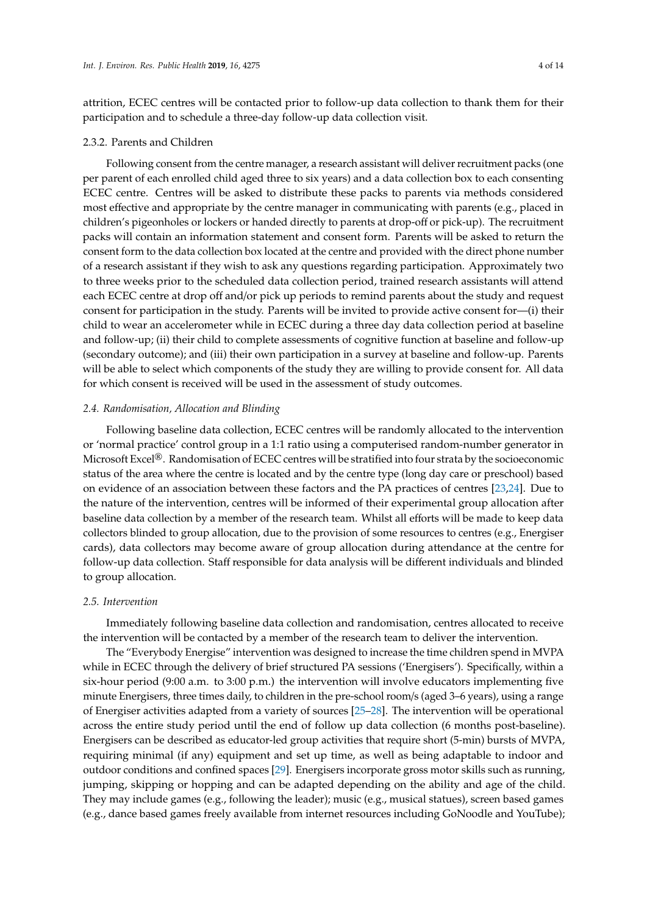attrition, ECEC centres will be contacted prior to follow-up data collection to thank them for their participation and to schedule a three-day follow-up data collection visit.

### 2.3.2. Parents and Children

Following consent from the centre manager, a research assistant will deliver recruitment packs (one per parent of each enrolled child aged three to six years) and a data collection box to each consenting ECEC centre. Centres will be asked to distribute these packs to parents via methods considered most effective and appropriate by the centre manager in communicating with parents (e.g., placed in children's pigeonholes or lockers or handed directly to parents at drop-off or pick-up). The recruitment packs will contain an information statement and consent form. Parents will be asked to return the consent form to the data collection box located at the centre and provided with the direct phone number of a research assistant if they wish to ask any questions regarding participation. Approximately two to three weeks prior to the scheduled data collection period, trained research assistants will attend each ECEC centre at drop off and/or pick up periods to remind parents about the study and request consent for participation in the study. Parents will be invited to provide active consent for—(i) their child to wear an accelerometer while in ECEC during a three day data collection period at baseline and follow-up; (ii) their child to complete assessments of cognitive function at baseline and follow-up (secondary outcome); and (iii) their own participation in a survey at baseline and follow-up. Parents will be able to select which components of the study they are willing to provide consent for. All data for which consent is received will be used in the assessment of study outcomes.

# *2.4. Randomisation, Allocation and Blinding*

Following baseline data collection, ECEC centres will be randomly allocated to the intervention or 'normal practice' control group in a 1:1 ratio using a computerised random-number generator in Microsoft Excel<sup>®</sup>. Randomisation of ECEC centres will be stratified into four strata by the socioeconomic status of the area where the centre is located and by the centre type (long day care or preschool) based on evidence of an association between these factors and the PA practices of centres [\[23](#page-12-3)[,24\]](#page-12-4). Due to the nature of the intervention, centres will be informed of their experimental group allocation after baseline data collection by a member of the research team. Whilst all efforts will be made to keep data collectors blinded to group allocation, due to the provision of some resources to centres (e.g., Energiser cards), data collectors may become aware of group allocation during attendance at the centre for follow-up data collection. Staff responsible for data analysis will be different individuals and blinded to group allocation.

#### *2.5. Intervention*

Immediately following baseline data collection and randomisation, centres allocated to receive the intervention will be contacted by a member of the research team to deliver the intervention.

The "Everybody Energise" intervention was designed to increase the time children spend in MVPA while in ECEC through the delivery of brief structured PA sessions ('Energisers'). Specifically, within a six-hour period (9:00 a.m. to 3:00 p.m.) the intervention will involve educators implementing five minute Energisers, three times daily, to children in the pre-school room/s (aged 3–6 years), using a range of Energiser activities adapted from a variety of sources [\[25](#page-12-5)[–28\]](#page-12-6). The intervention will be operational across the entire study period until the end of follow up data collection (6 months post-baseline). Energisers can be described as educator-led group activities that require short (5-min) bursts of MVPA, requiring minimal (if any) equipment and set up time, as well as being adaptable to indoor and outdoor conditions and confined spaces [\[29\]](#page-12-7). Energisers incorporate gross motor skills such as running, jumping, skipping or hopping and can be adapted depending on the ability and age of the child. They may include games (e.g., following the leader); music (e.g., musical statues), screen based games (e.g., dance based games freely available from internet resources including GoNoodle and YouTube);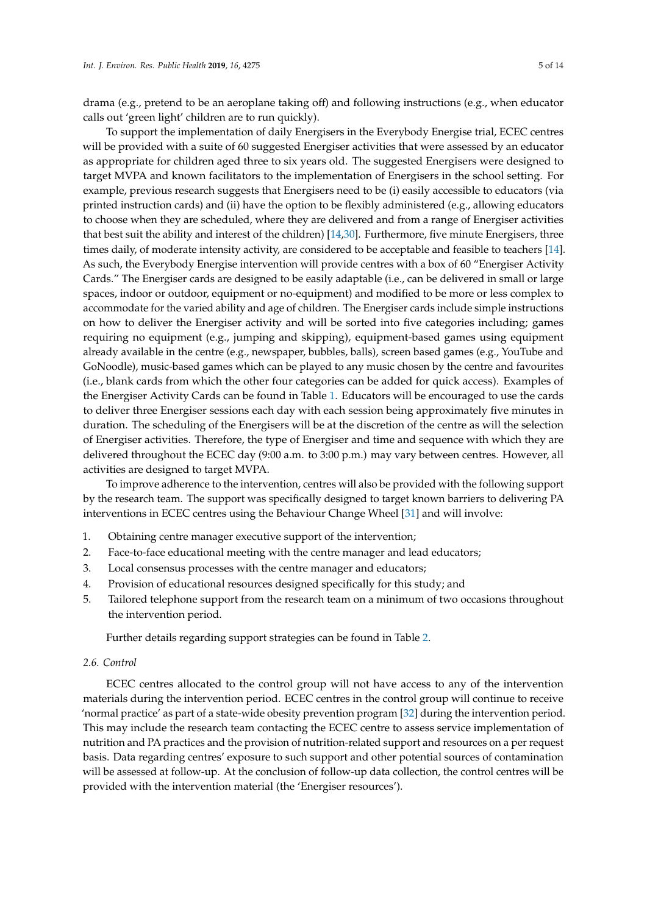drama (e.g., pretend to be an aeroplane taking off) and following instructions (e.g., when educator calls out 'green light' children are to run quickly).

To support the implementation of daily Energisers in the Everybody Energise trial, ECEC centres will be provided with a suite of 60 suggested Energiser activities that were assessed by an educator as appropriate for children aged three to six years old. The suggested Energisers were designed to target MVPA and known facilitators to the implementation of Energisers in the school setting. For example, previous research suggests that Energisers need to be (i) easily accessible to educators (via printed instruction cards) and (ii) have the option to be flexibly administered (e.g., allowing educators to choose when they are scheduled, where they are delivered and from a range of Energiser activities that best suit the ability and interest of the children) [\[14,](#page-11-13)[30\]](#page-12-8). Furthermore, five minute Energisers, three times daily, of moderate intensity activity, are considered to be acceptable and feasible to teachers [\[14\]](#page-11-13). As such, the Everybody Energise intervention will provide centres with a box of 60 "Energiser Activity Cards." The Energiser cards are designed to be easily adaptable (i.e., can be delivered in small or large spaces, indoor or outdoor, equipment or no-equipment) and modified to be more or less complex to accommodate for the varied ability and age of children. The Energiser cards include simple instructions on how to deliver the Energiser activity and will be sorted into five categories including; games requiring no equipment (e.g., jumping and skipping), equipment-based games using equipment already available in the centre (e.g., newspaper, bubbles, balls), screen based games (e.g., YouTube and GoNoodle), music-based games which can be played to any music chosen by the centre and favourites (i.e., blank cards from which the other four categories can be added for quick access). Examples of the Energiser Activity Cards can be found in Table [1.](#page-5-0) Educators will be encouraged to use the cards to deliver three Energiser sessions each day with each session being approximately five minutes in duration. The scheduling of the Energisers will be at the discretion of the centre as will the selection of Energiser activities. Therefore, the type of Energiser and time and sequence with which they are delivered throughout the ECEC day (9:00 a.m. to 3:00 p.m.) may vary between centres. However, all activities are designed to target MVPA.

To improve adherence to the intervention, centres will also be provided with the following support by the research team. The support was specifically designed to target known barriers to delivering PA interventions in ECEC centres using the Behaviour Change Wheel [\[31\]](#page-12-9) and will involve:

- 1. Obtaining centre manager executive support of the intervention;
- 2. Face-to-face educational meeting with the centre manager and lead educators;
- 3. Local consensus processes with the centre manager and educators;
- 4. Provision of educational resources designed specifically for this study; and
- 5. Tailored telephone support from the research team on a minimum of two occasions throughout the intervention period.

Further details regarding support strategies can be found in Table [2.](#page-6-0)

# *2.6. Control*

ECEC centres allocated to the control group will not have access to any of the intervention materials during the intervention period. ECEC centres in the control group will continue to receive 'normal practice' as part of a state-wide obesity prevention program [\[32\]](#page-12-10) during the intervention period. This may include the research team contacting the ECEC centre to assess service implementation of nutrition and PA practices and the provision of nutrition-related support and resources on a per request basis. Data regarding centres' exposure to such support and other potential sources of contamination will be assessed at follow-up. At the conclusion of follow-up data collection, the control centres will be provided with the intervention material (the 'Energiser resources').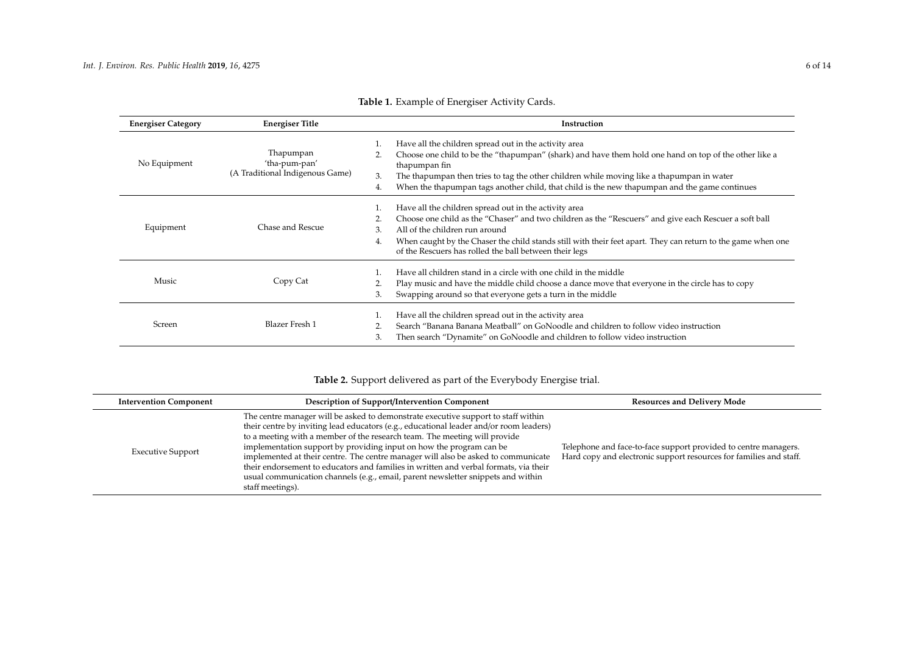| <b>Energiser Category</b> | <b>Energiser Title</b>                                        | Instruction                                                                                                                                                                                                                                                                                                                                                                               |
|---------------------------|---------------------------------------------------------------|-------------------------------------------------------------------------------------------------------------------------------------------------------------------------------------------------------------------------------------------------------------------------------------------------------------------------------------------------------------------------------------------|
| No Equipment              | Thapumpan<br>'tha-pum-pan'<br>(A Traditional Indigenous Game) | Have all the children spread out in the activity area<br>Choose one child to be the "thapumpan" (shark) and have them hold one hand on top of the other like a<br>thapumpan fin<br>The thapumpan then tries to tag the other children while moving like a thapumpan in water<br>3.<br>When the thapumpan tags another child, that child is the new thapumpan and the game continues<br>4. |
| Equipment                 | Chase and Rescue                                              | Have all the children spread out in the activity area<br>Choose one child as the "Chaser" and two children as the "Rescuers" and give each Rescuer a soft ball<br>All of the children run around<br>3.<br>When caught by the Chaser the child stands still with their feet apart. They can return to the game when one<br>4.<br>of the Rescuers has rolled the ball between their legs    |
| Music                     | Copy Cat                                                      | Have all children stand in a circle with one child in the middle<br>Play music and have the middle child choose a dance move that everyone in the circle has to copy<br>Swapping around so that everyone gets a turn in the middle<br>3.                                                                                                                                                  |
| Screen                    | <b>Blazer Fresh 1</b>                                         | Have all the children spread out in the activity area<br>Search "Banana Banana Meatball" on GoNoodle and children to follow video instruction<br>Then search "Dynamite" on GoNoodle and children to follow video instruction<br>3.                                                                                                                                                        |

|  |  |  | Table 1. Example of Energiser Activity Cards. |
|--|--|--|-----------------------------------------------|
|--|--|--|-----------------------------------------------|

# **Table 2.** Support delivered as part of the Everybody Energise trial.

<span id="page-5-0"></span>

| <b>Intervention Component</b> | <b>Description of Support/Intervention Component</b>                                                                                                                                                                                                                                                                                                                                                                                                                                                                                                                                                                 | <b>Resources and Delivery Mode</b>                                                                                                    |
|-------------------------------|----------------------------------------------------------------------------------------------------------------------------------------------------------------------------------------------------------------------------------------------------------------------------------------------------------------------------------------------------------------------------------------------------------------------------------------------------------------------------------------------------------------------------------------------------------------------------------------------------------------------|---------------------------------------------------------------------------------------------------------------------------------------|
| <b>Executive Support</b>      | The centre manager will be asked to demonstrate executive support to staff within<br>their centre by inviting lead educators (e.g., educational leader and/or room leaders)<br>to a meeting with a member of the research team. The meeting will provide<br>implementation support by providing input on how the program can be<br>implemented at their centre. The centre manager will also be asked to communicate<br>their endorsement to educators and families in written and verbal formats, via their<br>usual communication channels (e.g., email, parent newsletter snippets and within<br>staff meetings). | Telephone and face-to-face support provided to centre managers.<br>Hard copy and electronic support resources for families and staff. |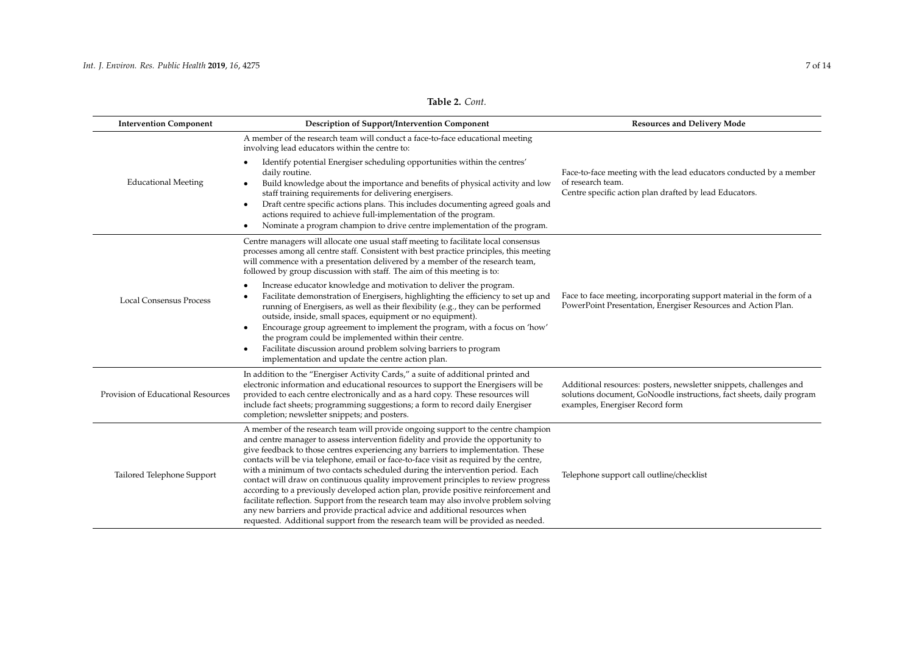# **Table 2.** *Cont.*

<span id="page-6-0"></span>

| <b>Intervention Component</b>      | <b>Description of Support/Intervention Component</b>                                                                                                                                                                                                                                                                                                                                                                                                                                                                                                                                                                                                                                                                                                                                                                                                                            | <b>Resources and Delivery Mode</b>                                                                                                                                             |
|------------------------------------|---------------------------------------------------------------------------------------------------------------------------------------------------------------------------------------------------------------------------------------------------------------------------------------------------------------------------------------------------------------------------------------------------------------------------------------------------------------------------------------------------------------------------------------------------------------------------------------------------------------------------------------------------------------------------------------------------------------------------------------------------------------------------------------------------------------------------------------------------------------------------------|--------------------------------------------------------------------------------------------------------------------------------------------------------------------------------|
|                                    | A member of the research team will conduct a face-to-face educational meeting<br>involving lead educators within the centre to:                                                                                                                                                                                                                                                                                                                                                                                                                                                                                                                                                                                                                                                                                                                                                 |                                                                                                                                                                                |
| <b>Educational Meeting</b>         | Identify potential Energiser scheduling opportunities within the centres'<br>daily routine.<br>Build knowledge about the importance and benefits of physical activity and low<br>staff training requirements for delivering energisers.<br>Draft centre specific actions plans. This includes documenting agreed goals and<br>$\bullet$<br>actions required to achieve full-implementation of the program.<br>Nominate a program champion to drive centre implementation of the program.                                                                                                                                                                                                                                                                                                                                                                                        | Face-to-face meeting with the lead educators conducted by a member<br>of research team.<br>Centre specific action plan drafted by lead Educators.                              |
|                                    | Centre managers will allocate one usual staff meeting to facilitate local consensus<br>processes among all centre staff. Consistent with best practice principles, this meeting<br>will commence with a presentation delivered by a member of the research team,<br>followed by group discussion with staff. The aim of this meeting is to:                                                                                                                                                                                                                                                                                                                                                                                                                                                                                                                                     |                                                                                                                                                                                |
| <b>Local Consensus Process</b>     | Increase educator knowledge and motivation to deliver the program.<br>Facilitate demonstration of Energisers, highlighting the efficiency to set up and<br>running of Energisers, as well as their flexibility (e.g., they can be performed<br>outside, inside, small spaces, equipment or no equipment).<br>Encourage group agreement to implement the program, with a focus on 'how'<br>the program could be implemented within their centre.<br>Facilitate discussion around problem solving barriers to program<br>implementation and update the centre action plan.                                                                                                                                                                                                                                                                                                        | Face to face meeting, incorporating support material in the form of a<br>PowerPoint Presentation, Energiser Resources and Action Plan.                                         |
| Provision of Educational Resources | In addition to the "Energiser Activity Cards," a suite of additional printed and<br>electronic information and educational resources to support the Energisers will be<br>provided to each centre electronically and as a hard copy. These resources will<br>include fact sheets; programming suggestions; a form to record daily Energiser<br>completion; newsletter snippets; and posters.                                                                                                                                                                                                                                                                                                                                                                                                                                                                                    | Additional resources: posters, newsletter snippets, challenges and<br>solutions document, GoNoodle instructions, fact sheets, daily program<br>examples, Energiser Record form |
| Tailored Telephone Support         | A member of the research team will provide ongoing support to the centre champion<br>and centre manager to assess intervention fidelity and provide the opportunity to<br>give feedback to those centres experiencing any barriers to implementation. These<br>contacts will be via telephone, email or face-to-face visit as required by the centre,<br>with a minimum of two contacts scheduled during the intervention period. Each<br>contact will draw on continuous quality improvement principles to review progress<br>according to a previously developed action plan, provide positive reinforcement and<br>facilitate reflection. Support from the research team may also involve problem solving<br>any new barriers and provide practical advice and additional resources when<br>requested. Additional support from the research team will be provided as needed. | Telephone support call outline/checklist                                                                                                                                       |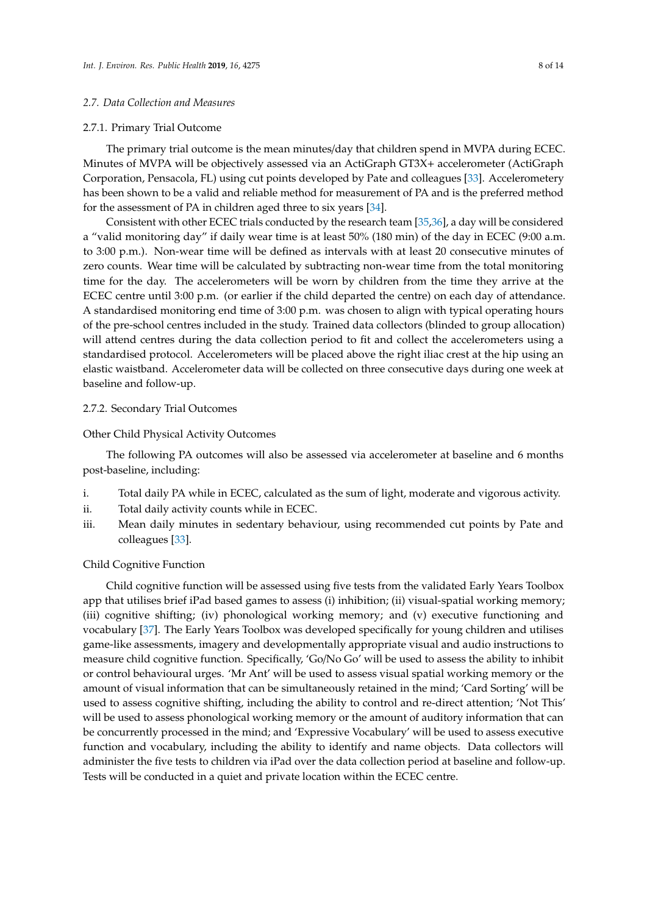# *2.7. Data Collection and Measures*

#### 2.7.1. Primary Trial Outcome

The primary trial outcome is the mean minutes/day that children spend in MVPA during ECEC. Minutes of MVPA will be objectively assessed via an ActiGraph GT3X+ accelerometer (ActiGraph Corporation, Pensacola, FL) using cut points developed by Pate and colleagues [\[33\]](#page-12-11). Accelerometery has been shown to be a valid and reliable method for measurement of PA and is the preferred method for the assessment of PA in children aged three to six years [\[34\]](#page-12-12).

Consistent with other ECEC trials conducted by the research team [\[35](#page-12-13)[,36\]](#page-12-14), a day will be considered a "valid monitoring day" if daily wear time is at least 50% (180 min) of the day in ECEC (9:00 a.m. to 3:00 p.m.). Non-wear time will be defined as intervals with at least 20 consecutive minutes of zero counts. Wear time will be calculated by subtracting non-wear time from the total monitoring time for the day. The accelerometers will be worn by children from the time they arrive at the ECEC centre until 3:00 p.m. (or earlier if the child departed the centre) on each day of attendance. A standardised monitoring end time of 3:00 p.m. was chosen to align with typical operating hours of the pre-school centres included in the study. Trained data collectors (blinded to group allocation) will attend centres during the data collection period to fit and collect the accelerometers using a standardised protocol. Accelerometers will be placed above the right iliac crest at the hip using an elastic waistband. Accelerometer data will be collected on three consecutive days during one week at baseline and follow-up.

# 2.7.2. Secondary Trial Outcomes

#### Other Child Physical Activity Outcomes

The following PA outcomes will also be assessed via accelerometer at baseline and 6 months post-baseline, including:

- i. Total daily PA while in ECEC, calculated as the sum of light, moderate and vigorous activity.
- ii. Total daily activity counts while in ECEC.
- iii. Mean daily minutes in sedentary behaviour, using recommended cut points by Pate and colleagues [\[33\]](#page-12-11).

# Child Cognitive Function

Child cognitive function will be assessed using five tests from the validated Early Years Toolbox app that utilises brief iPad based games to assess (i) inhibition; (ii) visual-spatial working memory; (iii) cognitive shifting; (iv) phonological working memory; and (v) executive functioning and vocabulary [\[37\]](#page-12-15). The Early Years Toolbox was developed specifically for young children and utilises game-like assessments, imagery and developmentally appropriate visual and audio instructions to measure child cognitive function. Specifically, 'Go/No Go' will be used to assess the ability to inhibit or control behavioural urges. 'Mr Ant' will be used to assess visual spatial working memory or the amount of visual information that can be simultaneously retained in the mind; 'Card Sorting' will be used to assess cognitive shifting, including the ability to control and re-direct attention; 'Not This' will be used to assess phonological working memory or the amount of auditory information that can be concurrently processed in the mind; and 'Expressive Vocabulary' will be used to assess executive function and vocabulary, including the ability to identify and name objects. Data collectors will administer the five tests to children via iPad over the data collection period at baseline and follow-up. Tests will be conducted in a quiet and private location within the ECEC centre.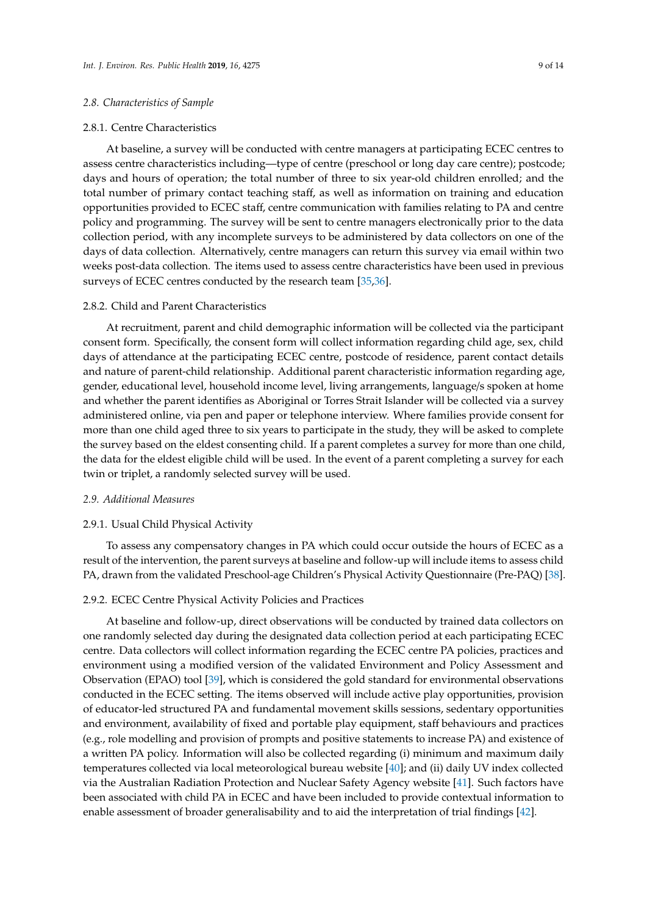# *2.8. Characteristics of Sample*

#### 2.8.1. Centre Characteristics

At baseline, a survey will be conducted with centre managers at participating ECEC centres to assess centre characteristics including—type of centre (preschool or long day care centre); postcode; days and hours of operation; the total number of three to six year-old children enrolled; and the total number of primary contact teaching staff, as well as information on training and education opportunities provided to ECEC staff, centre communication with families relating to PA and centre policy and programming. The survey will be sent to centre managers electronically prior to the data collection period, with any incomplete surveys to be administered by data collectors on one of the days of data collection. Alternatively, centre managers can return this survey via email within two weeks post-data collection. The items used to assess centre characteristics have been used in previous surveys of ECEC centres conducted by the research team [\[35,](#page-12-13)[36\]](#page-12-14).

# 2.8.2. Child and Parent Characteristics

At recruitment, parent and child demographic information will be collected via the participant consent form. Specifically, the consent form will collect information regarding child age, sex, child days of attendance at the participating ECEC centre, postcode of residence, parent contact details and nature of parent-child relationship. Additional parent characteristic information regarding age, gender, educational level, household income level, living arrangements, language/s spoken at home and whether the parent identifies as Aboriginal or Torres Strait Islander will be collected via a survey administered online, via pen and paper or telephone interview. Where families provide consent for more than one child aged three to six years to participate in the study, they will be asked to complete the survey based on the eldest consenting child. If a parent completes a survey for more than one child, the data for the eldest eligible child will be used. In the event of a parent completing a survey for each twin or triplet, a randomly selected survey will be used.

#### *2.9. Additional Measures*

#### 2.9.1. Usual Child Physical Activity

To assess any compensatory changes in PA which could occur outside the hours of ECEC as a result of the intervention, the parent surveys at baseline and follow-up will include items to assess child PA, drawn from the validated Preschool-age Children's Physical Activity Questionnaire (Pre-PAQ) [\[38\]](#page-12-16).

#### 2.9.2. ECEC Centre Physical Activity Policies and Practices

At baseline and follow-up, direct observations will be conducted by trained data collectors on one randomly selected day during the designated data collection period at each participating ECEC centre. Data collectors will collect information regarding the ECEC centre PA policies, practices and environment using a modified version of the validated Environment and Policy Assessment and Observation (EPAO) tool [\[39\]](#page-12-17), which is considered the gold standard for environmental observations conducted in the ECEC setting. The items observed will include active play opportunities, provision of educator-led structured PA and fundamental movement skills sessions, sedentary opportunities and environment, availability of fixed and portable play equipment, staff behaviours and practices (e.g., role modelling and provision of prompts and positive statements to increase PA) and existence of a written PA policy. Information will also be collected regarding (i) minimum and maximum daily temperatures collected via local meteorological bureau website [\[40\]](#page-12-18); and (ii) daily UV index collected via the Australian Radiation Protection and Nuclear Safety Agency website [\[41\]](#page-13-0). Such factors have been associated with child PA in ECEC and have been included to provide contextual information to enable assessment of broader generalisability and to aid the interpretation of trial findings [\[42\]](#page-13-1).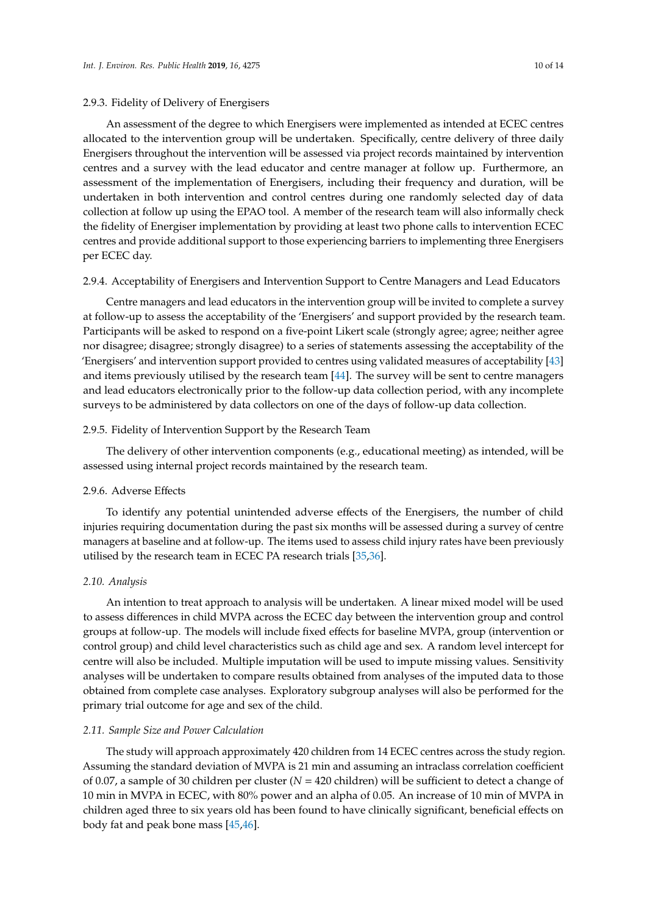# 2.9.3. Fidelity of Delivery of Energisers

An assessment of the degree to which Energisers were implemented as intended at ECEC centres allocated to the intervention group will be undertaken. Specifically, centre delivery of three daily Energisers throughout the intervention will be assessed via project records maintained by intervention centres and a survey with the lead educator and centre manager at follow up. Furthermore, an assessment of the implementation of Energisers, including their frequency and duration, will be undertaken in both intervention and control centres during one randomly selected day of data collection at follow up using the EPAO tool. A member of the research team will also informally check the fidelity of Energiser implementation by providing at least two phone calls to intervention ECEC centres and provide additional support to those experiencing barriers to implementing three Energisers per ECEC day.

#### 2.9.4. Acceptability of Energisers and Intervention Support to Centre Managers and Lead Educators

Centre managers and lead educators in the intervention group will be invited to complete a survey at follow-up to assess the acceptability of the 'Energisers' and support provided by the research team. Participants will be asked to respond on a five-point Likert scale (strongly agree; agree; neither agree nor disagree; disagree; strongly disagree) to a series of statements assessing the acceptability of the 'Energisers' and intervention support provided to centres using validated measures of acceptability [\[43\]](#page-13-2) and items previously utilised by the research team [\[44\]](#page-13-3). The survey will be sent to centre managers and lead educators electronically prior to the follow-up data collection period, with any incomplete surveys to be administered by data collectors on one of the days of follow-up data collection.

# 2.9.5. Fidelity of Intervention Support by the Research Team

The delivery of other intervention components (e.g., educational meeting) as intended, will be assessed using internal project records maintained by the research team.

# 2.9.6. Adverse Effects

To identify any potential unintended adverse effects of the Energisers, the number of child injuries requiring documentation during the past six months will be assessed during a survey of centre managers at baseline and at follow-up. The items used to assess child injury rates have been previously utilised by the research team in ECEC PA research trials [\[35](#page-12-13)[,36\]](#page-12-14).

#### *2.10. Analysis*

An intention to treat approach to analysis will be undertaken. A linear mixed model will be used to assess differences in child MVPA across the ECEC day between the intervention group and control groups at follow-up. The models will include fixed effects for baseline MVPA, group (intervention or control group) and child level characteristics such as child age and sex. A random level intercept for centre will also be included. Multiple imputation will be used to impute missing values. Sensitivity analyses will be undertaken to compare results obtained from analyses of the imputed data to those obtained from complete case analyses. Exploratory subgroup analyses will also be performed for the primary trial outcome for age and sex of the child.

# *2.11. Sample Size and Power Calculation*

The study will approach approximately 420 children from 14 ECEC centres across the study region. Assuming the standard deviation of MVPA is 21 min and assuming an intraclass correlation coefficient of 0.07, a sample of 30 children per cluster (*N* = 420 children) will be sufficient to detect a change of 10 min in MVPA in ECEC, with 80% power and an alpha of 0.05. An increase of 10 min of MVPA in children aged three to six years old has been found to have clinically significant, beneficial effects on body fat and peak bone mass [\[45](#page-13-4)[,46\]](#page-13-5).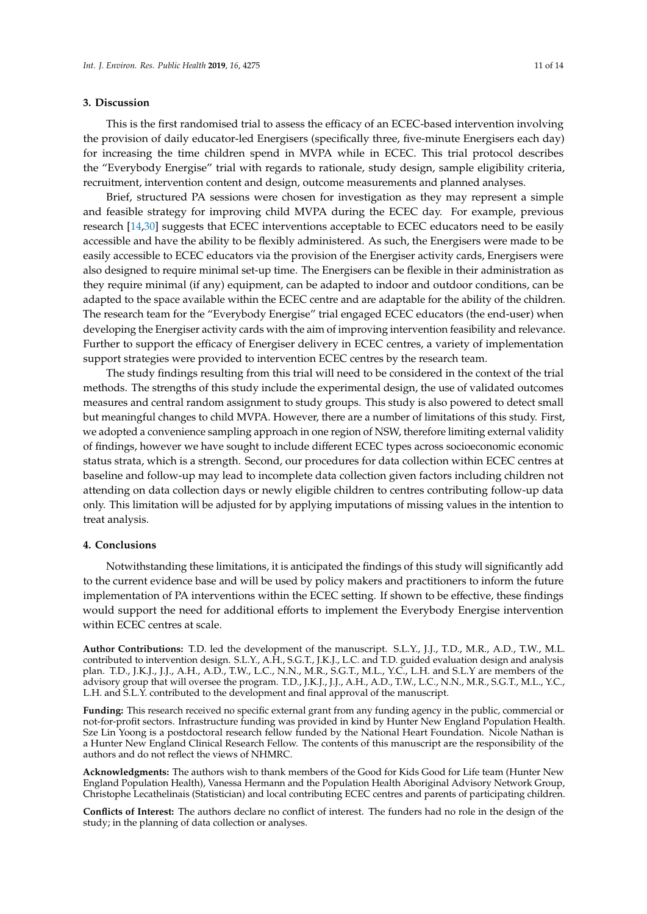## **3. Discussion**

This is the first randomised trial to assess the efficacy of an ECEC-based intervention involving the provision of daily educator-led Energisers (specifically three, five-minute Energisers each day) for increasing the time children spend in MVPA while in ECEC. This trial protocol describes the "Everybody Energise" trial with regards to rationale, study design, sample eligibility criteria, recruitment, intervention content and design, outcome measurements and planned analyses.

Brief, structured PA sessions were chosen for investigation as they may represent a simple and feasible strategy for improving child MVPA during the ECEC day. For example, previous research [\[14,](#page-11-13)[30\]](#page-12-8) suggests that ECEC interventions acceptable to ECEC educators need to be easily accessible and have the ability to be flexibly administered. As such, the Energisers were made to be easily accessible to ECEC educators via the provision of the Energiser activity cards, Energisers were also designed to require minimal set-up time. The Energisers can be flexible in their administration as they require minimal (if any) equipment, can be adapted to indoor and outdoor conditions, can be adapted to the space available within the ECEC centre and are adaptable for the ability of the children. The research team for the "Everybody Energise" trial engaged ECEC educators (the end-user) when developing the Energiser activity cards with the aim of improving intervention feasibility and relevance. Further to support the efficacy of Energiser delivery in ECEC centres, a variety of implementation support strategies were provided to intervention ECEC centres by the research team.

The study findings resulting from this trial will need to be considered in the context of the trial methods. The strengths of this study include the experimental design, the use of validated outcomes measures and central random assignment to study groups. This study is also powered to detect small but meaningful changes to child MVPA. However, there are a number of limitations of this study. First, we adopted a convenience sampling approach in one region of NSW, therefore limiting external validity of findings, however we have sought to include different ECEC types across socioeconomic economic status strata, which is a strength. Second, our procedures for data collection within ECEC centres at baseline and follow-up may lead to incomplete data collection given factors including children not attending on data collection days or newly eligible children to centres contributing follow-up data only. This limitation will be adjusted for by applying imputations of missing values in the intention to treat analysis.

# **4. Conclusions**

Notwithstanding these limitations, it is anticipated the findings of this study will significantly add to the current evidence base and will be used by policy makers and practitioners to inform the future implementation of PA interventions within the ECEC setting. If shown to be effective, these findings would support the need for additional efforts to implement the Everybody Energise intervention within ECEC centres at scale.

**Author Contributions:** T.D. led the development of the manuscript. S.L.Y., J.J., T.D., M.R., A.D., T.W., M.L. contributed to intervention design. S.L.Y., A.H., S.G.T., J.K.J., L.C. and T.D. guided evaluation design and analysis plan. T.D., J.K.J., J.J., A.H., A.D., T.W., L.C., N.N., M.R., S.G.T., M.L., Y.C., L.H. and S.L.Y are members of the advisory group that will oversee the program. T.D., J.K.J., J.J., A.H., A.D., T.W., L.C., N.N., M.R., S.G.T., M.L., Y.C., L.H. and S.L.Y. contributed to the development and final approval of the manuscript.

**Funding:** This research received no specific external grant from any funding agency in the public, commercial or not-for-profit sectors. Infrastructure funding was provided in kind by Hunter New England Population Health. Sze Lin Yoong is a postdoctoral research fellow funded by the National Heart Foundation. Nicole Nathan is a Hunter New England Clinical Research Fellow. The contents of this manuscript are the responsibility of the authors and do not reflect the views of NHMRC.

**Acknowledgments:** The authors wish to thank members of the Good for Kids Good for Life team (Hunter New England Population Health), Vanessa Hermann and the Population Health Aboriginal Advisory Network Group, Christophe Lecathelinais (Statistician) and local contributing ECEC centres and parents of participating children.

**Conflicts of Interest:** The authors declare no conflict of interest. The funders had no role in the design of the study; in the planning of data collection or analyses.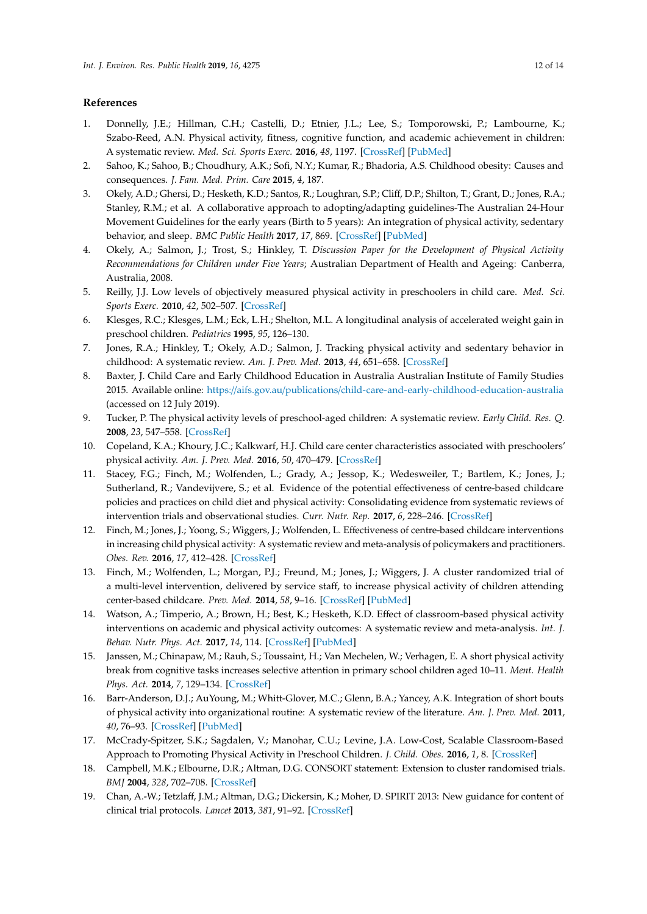# **References**

- <span id="page-11-0"></span>1. Donnelly, J.E.; Hillman, C.H.; Castelli, D.; Etnier, J.L.; Lee, S.; Tomporowski, P.; Lambourne, K.; Szabo-Reed, A.N. Physical activity, fitness, cognitive function, and academic achievement in children: A systematic review. *Med. Sci. Sports Exerc.* **2016**, *48*, 1197. [\[CrossRef\]](http://dx.doi.org/10.1249/MSS.0000000000000901) [\[PubMed\]](http://www.ncbi.nlm.nih.gov/pubmed/27182986)
- <span id="page-11-1"></span>2. Sahoo, K.; Sahoo, B.; Choudhury, A.K.; Sofi, N.Y.; Kumar, R.; Bhadoria, A.S. Childhood obesity: Causes and consequences. *J. Fam. Med. Prim. Care* **2015**, *4*, 187.
- <span id="page-11-2"></span>3. Okely, A.D.; Ghersi, D.; Hesketh, K.D.; Santos, R.; Loughran, S.P.; Cliff, D.P.; Shilton, T.; Grant, D.; Jones, R.A.; Stanley, R.M.; et al. A collaborative approach to adopting/adapting guidelines-The Australian 24-Hour Movement Guidelines for the early years (Birth to 5 years): An integration of physical activity, sedentary behavior, and sleep. *BMC Public Health* **2017**, *17*, 869. [\[CrossRef\]](http://dx.doi.org/10.1186/s12889-017-4867-6) [\[PubMed\]](http://www.ncbi.nlm.nih.gov/pubmed/29219094)
- <span id="page-11-3"></span>4. Okely, A.; Salmon, J.; Trost, S.; Hinkley, T. *Discussion Paper for the Development of Physical Activity Recommendations for Children under Five Years*; Australian Department of Health and Ageing: Canberra, Australia, 2008.
- <span id="page-11-4"></span>5. Reilly, J.J. Low levels of objectively measured physical activity in preschoolers in child care. *Med. Sci. Sports Exerc.* **2010**, *42*, 502–507. [\[CrossRef\]](http://dx.doi.org/10.1249/MSS.0b013e3181cea100)
- <span id="page-11-5"></span>6. Klesges, R.C.; Klesges, L.M.; Eck, L.H.; Shelton, M.L. A longitudinal analysis of accelerated weight gain in preschool children. *Pediatrics* **1995**, *95*, 126–130.
- <span id="page-11-6"></span>7. Jones, R.A.; Hinkley, T.; Okely, A.D.; Salmon, J. Tracking physical activity and sedentary behavior in childhood: A systematic review. *Am. J. Prev. Med.* **2013**, *44*, 651–658. [\[CrossRef\]](http://dx.doi.org/10.1016/j.amepre.2013.03.001)
- <span id="page-11-7"></span>8. Baxter, J. Child Care and Early Childhood Education in Australia Australian Institute of Family Studies 2015. Available online: https://aifs.gov.au/publications/[child-care-and-early-childhood-education-australia](https://aifs.gov.au/publications/child-care-and-early-childhood-education-australia) (accessed on 12 July 2019).
- <span id="page-11-8"></span>9. Tucker, P. The physical activity levels of preschool-aged children: A systematic review. *Early Child. Res. Q.* **2008**, *23*, 547–558. [\[CrossRef\]](http://dx.doi.org/10.1016/j.ecresq.2008.08.005)
- <span id="page-11-9"></span>10. Copeland, K.A.; Khoury, J.C.; Kalkwarf, H.J. Child care center characteristics associated with preschoolers' physical activity. *Am. J. Prev. Med.* **2016**, *50*, 470–479. [\[CrossRef\]](http://dx.doi.org/10.1016/j.amepre.2015.08.028)
- <span id="page-11-10"></span>11. Stacey, F.G.; Finch, M.; Wolfenden, L.; Grady, A.; Jessop, K.; Wedesweiler, T.; Bartlem, K.; Jones, J.; Sutherland, R.; Vandevijvere, S.; et al. Evidence of the potential effectiveness of centre-based childcare policies and practices on child diet and physical activity: Consolidating evidence from systematic reviews of intervention trials and observational studies. *Curr. Nutr. Rep.* **2017**, *6*, 228–246. [\[CrossRef\]](http://dx.doi.org/10.1007/s13668-017-0212-z)
- <span id="page-11-11"></span>12. Finch, M.; Jones, J.; Yoong, S.; Wiggers, J.; Wolfenden, L. Effectiveness of centre-based childcare interventions in increasing child physical activity: A systematic review and meta-analysis of policymakers and practitioners. *Obes. Rev.* **2016**, *17*, 412–428. [\[CrossRef\]](http://dx.doi.org/10.1111/obr.12392)
- <span id="page-11-12"></span>13. Finch, M.; Wolfenden, L.; Morgan, P.J.; Freund, M.; Jones, J.; Wiggers, J. A cluster randomized trial of a multi-level intervention, delivered by service staff, to increase physical activity of children attending center-based childcare. *Prev. Med.* **2014**, *58*, 9–16. [\[CrossRef\]](http://dx.doi.org/10.1016/j.ypmed.2013.10.004) [\[PubMed\]](http://www.ncbi.nlm.nih.gov/pubmed/24145204)
- <span id="page-11-13"></span>14. Watson, A.; Timperio, A.; Brown, H.; Best, K.; Hesketh, K.D. Effect of classroom-based physical activity interventions on academic and physical activity outcomes: A systematic review and meta-analysis. *Int. J. Behav. Nutr. Phys. Act.* **2017**, *14*, 114. [\[CrossRef\]](http://dx.doi.org/10.1186/s12966-017-0569-9) [\[PubMed\]](http://www.ncbi.nlm.nih.gov/pubmed/28841890)
- <span id="page-11-14"></span>15. Janssen, M.; Chinapaw, M.; Rauh, S.; Toussaint, H.; Van Mechelen, W.; Verhagen, E. A short physical activity break from cognitive tasks increases selective attention in primary school children aged 10–11. *Ment. Health Phys. Act.* **2014**, *7*, 129–134. [\[CrossRef\]](http://dx.doi.org/10.1016/j.mhpa.2014.07.001)
- <span id="page-11-15"></span>16. Barr-Anderson, D.J.; AuYoung, M.; Whitt-Glover, M.C.; Glenn, B.A.; Yancey, A.K. Integration of short bouts of physical activity into organizational routine: A systematic review of the literature. *Am. J. Prev. Med.* **2011**, *40*, 76–93. [\[CrossRef\]](http://dx.doi.org/10.1016/j.amepre.2010.09.033) [\[PubMed\]](http://www.ncbi.nlm.nih.gov/pubmed/21146772)
- <span id="page-11-16"></span>17. McCrady-Spitzer, S.K.; Sagdalen, V.; Manohar, C.U.; Levine, J.A. Low-Cost, Scalable Classroom-Based Approach to Promoting Physical Activity in Preschool Children. *J. Child. Obes.* **2016**, *1*, 8. [\[CrossRef\]](http://dx.doi.org/10.21767/2572-5394.100008)
- <span id="page-11-17"></span>18. Campbell, M.K.; Elbourne, D.R.; Altman, D.G. CONSORT statement: Extension to cluster randomised trials. *BMJ* **2004**, *328*, 702–708. [\[CrossRef\]](http://dx.doi.org/10.1136/bmj.328.7441.702)
- <span id="page-11-18"></span>19. Chan, A.-W.; Tetzlaff, J.M.; Altman, D.G.; Dickersin, K.; Moher, D. SPIRIT 2013: New guidance for content of clinical trial protocols. *Lancet* **2013**, *381*, 91–92. [\[CrossRef\]](http://dx.doi.org/10.1016/S0140-6736(12)62160-6)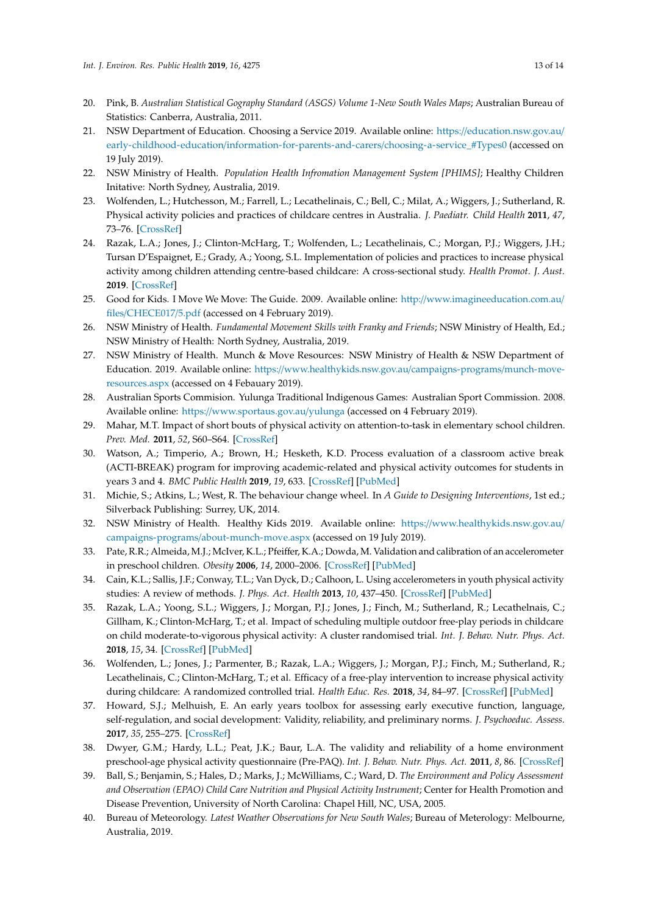- <span id="page-12-0"></span>20. Pink, B. Australian Statistical Gography Standard (ASGS) Volume 1-New South Wales Maps; Australian Bureau of Statistics: Canberra, Australia, 2011.
- <span id="page-12-1"></span>21. NSW Department of Education. Choosing a Service 2019. Available online: https://[education.nsw.gov.au](https://education.nsw.gov.au/early-childhood-education/information-for-parents-and-carers/choosing-a-service_#Types0)/ early-childhood-education/[information-for-parents-and-carers](https://education.nsw.gov.au/early-childhood-education/information-for-parents-and-carers/choosing-a-service_#Types0)/choosing-a-service\_#Types0 (accessed on 19 July 2019).
- <span id="page-12-2"></span>22. NSW Ministry of Health. *Population Health Infromation Management System [PHIMS]*; Healthy Children Initative: North Sydney, Australia, 2019.
- <span id="page-12-3"></span>23. Wolfenden, L.; Hutchesson, M.; Farrell, L.; Lecathelinais, C.; Bell, C.; Milat, A.; Wiggers, J.; Sutherland, R. Physical activity policies and practices of childcare centres in Australia. *J. Paediatr. Child Health* **2011**, *47*, 73–76. [\[CrossRef\]](http://dx.doi.org/10.1111/j.1440-1754.2010.01738.x)
- <span id="page-12-4"></span>24. Razak, L.A.; Jones, J.; Clinton-McHarg, T.; Wolfenden, L.; Lecathelinais, C.; Morgan, P.J.; Wiggers, J.H.; Tursan D'Espaignet, E.; Grady, A.; Yoong, S.L. Implementation of policies and practices to increase physical activity among children attending centre-based childcare: A cross-sectional study. *Health Promot. J. Aust.* **2019**. [\[CrossRef\]](http://dx.doi.org/10.1002/hpja.268)
- <span id="page-12-5"></span>25. Good for Kids. I Move We Move: The Guide. 2009. Available online: http://[www.imagineeducation.com.au](http://www.imagineeducation.com.au/files/CHECE017/5.pdf)/ files/[CHECE017](http://www.imagineeducation.com.au/files/CHECE017/5.pdf)/5.pdf (accessed on 4 February 2019).
- 26. NSW Ministry of Health. *Fundamental Movement Skills with Franky and Friends*; NSW Ministry of Health, Ed.; NSW Ministry of Health: North Sydney, Australia, 2019.
- 27. NSW Ministry of Health. Munch & Move Resources: NSW Ministry of Health & NSW Department of Education. 2019. Available online: https://[www.healthykids.nsw.gov.au](https://www.healthykids.nsw.gov.au/campaigns-programs/munch-move-resources.aspx)/campaigns-programs/munch-move[resources.aspx](https://www.healthykids.nsw.gov.au/campaigns-programs/munch-move-resources.aspx) (accessed on 4 Febauary 2019).
- <span id="page-12-6"></span>28. Australian Sports Commision. Yulunga Traditional Indigenous Games: Australian Sport Commission. 2008. Available online: https://[www.sportaus.gov.au](https://www.sportaus.gov.au/yulunga)/yulunga (accessed on 4 February 2019).
- <span id="page-12-7"></span>29. Mahar, M.T. Impact of short bouts of physical activity on attention-to-task in elementary school children. *Prev. Med.* **2011**, *52*, S60–S64. [\[CrossRef\]](http://dx.doi.org/10.1016/j.ypmed.2011.01.026)
- <span id="page-12-8"></span>30. Watson, A.; Timperio, A.; Brown, H.; Hesketh, K.D. Process evaluation of a classroom active break (ACTI-BREAK) program for improving academic-related and physical activity outcomes for students in years 3 and 4. *BMC Public Health* **2019**, *19*, 633. [\[CrossRef\]](http://dx.doi.org/10.1186/s12889-019-6982-z) [\[PubMed\]](http://www.ncbi.nlm.nih.gov/pubmed/31126278)
- <span id="page-12-9"></span>31. Michie, S.; Atkins, L.; West, R. The behaviour change wheel. In *A Guide to Designing Interventions*, 1st ed.; Silverback Publishing: Surrey, UK, 2014.
- <span id="page-12-10"></span>32. NSW Ministry of Health. Healthy Kids 2019. Available online: https://[www.healthykids.nsw.gov.au](https://www.healthykids.nsw.gov.au/campaigns-programs/about-munch-move.aspx)/ campaigns-programs/[about-munch-move.aspx](https://www.healthykids.nsw.gov.au/campaigns-programs/about-munch-move.aspx) (accessed on 19 July 2019).
- <span id="page-12-11"></span>33. Pate, R.R.; Almeida, M.J.; McIver, K.L.; Pfeiffer, K.A.; Dowda, M. Validation and calibration of an accelerometer in preschool children. *Obesity* **2006**, *14*, 2000–2006. [\[CrossRef\]](http://dx.doi.org/10.1038/oby.2006.234) [\[PubMed\]](http://www.ncbi.nlm.nih.gov/pubmed/17135617)
- <span id="page-12-12"></span>34. Cain, K.L.; Sallis, J.F.; Conway, T.L.; Van Dyck, D.; Calhoon, L. Using accelerometers in youth physical activity studies: A review of methods. *J. Phys. Act. Health* **2013**, *10*, 437–450. [\[CrossRef\]](http://dx.doi.org/10.1123/jpah.10.3.437) [\[PubMed\]](http://www.ncbi.nlm.nih.gov/pubmed/23620392)
- <span id="page-12-13"></span>35. Razak, L.A.; Yoong, S.L.; Wiggers, J.; Morgan, P.J.; Jones, J.; Finch, M.; Sutherland, R.; Lecathelnais, C.; Gillham, K.; Clinton-McHarg, T.; et al. Impact of scheduling multiple outdoor free-play periods in childcare on child moderate-to-vigorous physical activity: A cluster randomised trial. *Int. J. Behav. Nutr. Phys. Act.* **2018**, *15*, 34. [\[CrossRef\]](http://dx.doi.org/10.1186/s12966-018-0665-5) [\[PubMed\]](http://www.ncbi.nlm.nih.gov/pubmed/29615061)
- <span id="page-12-14"></span>36. Wolfenden, L.; Jones, J.; Parmenter, B.; Razak, L.A.; Wiggers, J.; Morgan, P.J.; Finch, M.; Sutherland, R.; Lecathelinais, C.; Clinton-McHarg, T.; et al. Efficacy of a free-play intervention to increase physical activity during childcare: A randomized controlled trial. *Health Educ. Res.* **2018**, *34*, 84–97. [\[CrossRef\]](http://dx.doi.org/10.1093/her/cyy041) [\[PubMed\]](http://www.ncbi.nlm.nih.gov/pubmed/30445644)
- <span id="page-12-15"></span>37. Howard, S.J.; Melhuish, E. An early years toolbox for assessing early executive function, language, self-regulation, and social development: Validity, reliability, and preliminary norms. *J. Psychoeduc. Assess.* **2017**, *35*, 255–275. [\[CrossRef\]](http://dx.doi.org/10.1177/0734282916633009)
- <span id="page-12-16"></span>38. Dwyer, G.M.; Hardy, L.L.; Peat, J.K.; Baur, L.A. The validity and reliability of a home environment preschool-age physical activity questionnaire (Pre-PAQ). *Int. J. Behav. Nutr. Phys. Act.* **2011**, *8*, 86. [\[CrossRef\]](http://dx.doi.org/10.1186/1479-5868-8-86)
- <span id="page-12-17"></span>39. Ball, S.; Benjamin, S.; Hales, D.; Marks, J.; McWilliams, C.; Ward, D. *The Environment and Policy Assessment and Observation (EPAO) Child Care Nutrition and Physical Activity Instrument*; Center for Health Promotion and Disease Prevention, University of North Carolina: Chapel Hill, NC, USA, 2005.
- <span id="page-12-18"></span>40. Bureau of Meteorology. *Latest Weather Observations for New South Wales*; Bureau of Meterology: Melbourne, Australia, 2019.